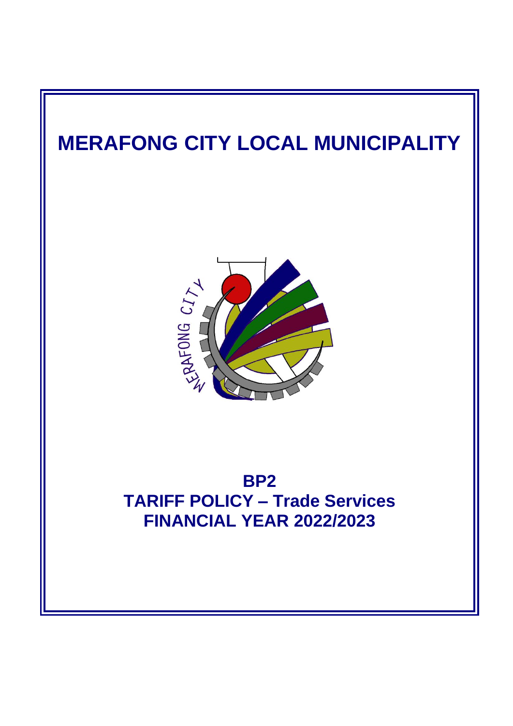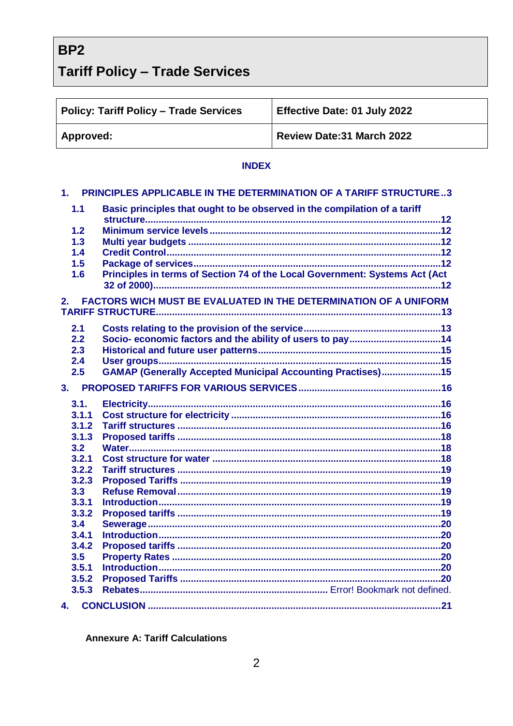BP<sub>2</sub>

# **Tariff Policy - Trade Services**

| <b>Policy: Tariff Policy - Trade Services</b> | <b>Effective Date: 01 July 2022</b> |
|-----------------------------------------------|-------------------------------------|
| Approved:                                     | <b>Review Date:31 March 2022</b>    |

# **INDEX**

|       | 1. PRINCIPLES APPLICABLE IN THE DETERMINATION OF A TARIFF STRUCTURE3        |  |
|-------|-----------------------------------------------------------------------------|--|
| 1.1   | Basic principles that ought to be observed in the compilation of a tariff   |  |
| 1.2   |                                                                             |  |
| 1.3   |                                                                             |  |
| 1.4   |                                                                             |  |
| 1.5   |                                                                             |  |
| 1.6   | Principles in terms of Section 74 of the Local Government: Systems Act (Act |  |
| 2.    | FACTORS WICH MUST BE EVALUATED IN THE DETERMINATION OF A UNIFORM            |  |
| 2.1   |                                                                             |  |
| 2.2   |                                                                             |  |
| 2.3   |                                                                             |  |
| 2.4   |                                                                             |  |
| 2.5   | <b>GAMAP (Generally Accepted Municipal Accounting Practises)15</b>          |  |
|       |                                                                             |  |
| 3.    |                                                                             |  |
| 3.1.  |                                                                             |  |
| 3.1.1 |                                                                             |  |
| 3.1.2 |                                                                             |  |
| 3.1.3 |                                                                             |  |
| 3.2   |                                                                             |  |
| 3.2.1 |                                                                             |  |
| 3.2.2 |                                                                             |  |
| 3.2.3 |                                                                             |  |
| 3.3   |                                                                             |  |
| 3.3.1 |                                                                             |  |
| 3.3.2 |                                                                             |  |
| 3.4   |                                                                             |  |
| 3.4.1 |                                                                             |  |
| 3.4.2 |                                                                             |  |
| 3.5   |                                                                             |  |
| 3.5.1 |                                                                             |  |
| 3.5.2 |                                                                             |  |
| 3.5.3 |                                                                             |  |
| 4.    |                                                                             |  |

**Annexure A: Tariff Calculations**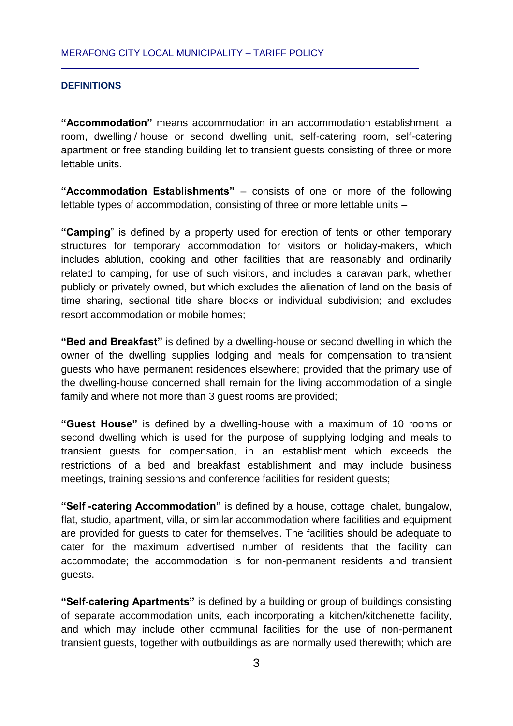## <span id="page-2-0"></span>**DEFINITIONS**

**"Accommodation"** means accommodation in an accommodation establishment, a room, dwelling / house or second dwelling unit, self-catering room, self-catering apartment or free standing building let to transient guests consisting of three or more lettable units.

**"Accommodation Establishments"** – consists of one or more of the following lettable types of accommodation, consisting of three or more lettable units –

**"Camping**" is defined by a property used for erection of tents or other temporary structures for temporary accommodation for visitors or holiday-makers, which includes ablution, cooking and other facilities that are reasonably and ordinarily related to camping, for use of such visitors, and includes a caravan park, whether publicly or privately owned, but which excludes the alienation of land on the basis of time sharing, sectional title share blocks or individual subdivision; and excludes resort accommodation or mobile homes;

**"Bed and Breakfast"** is defined by a dwelling-house or second dwelling in which the owner of the dwelling supplies lodging and meals for compensation to transient guests who have permanent residences elsewhere; provided that the primary use of the dwelling-house concerned shall remain for the living accommodation of a single family and where not more than 3 guest rooms are provided;

**"Guest House"** is defined by a dwelling-house with a maximum of 10 rooms or second dwelling which is used for the purpose of supplying lodging and meals to transient guests for compensation, in an establishment which exceeds the restrictions of a bed and breakfast establishment and may include business meetings, training sessions and conference facilities for resident guests;

**"Self -catering Accommodation"** is defined by a house, cottage, chalet, bungalow, flat, studio, apartment, villa, or similar accommodation where facilities and equipment are provided for guests to cater for themselves. The facilities should be adequate to cater for the maximum advertised number of residents that the facility can accommodate; the accommodation is for non-permanent residents and transient guests.

**"Self-catering Apartments"** is defined by a building or group of buildings consisting of separate accommodation units, each incorporating a kitchen/kitchenette facility, and which may include other communal facilities for the use of non-permanent transient guests, together with outbuildings as are normally used therewith; which are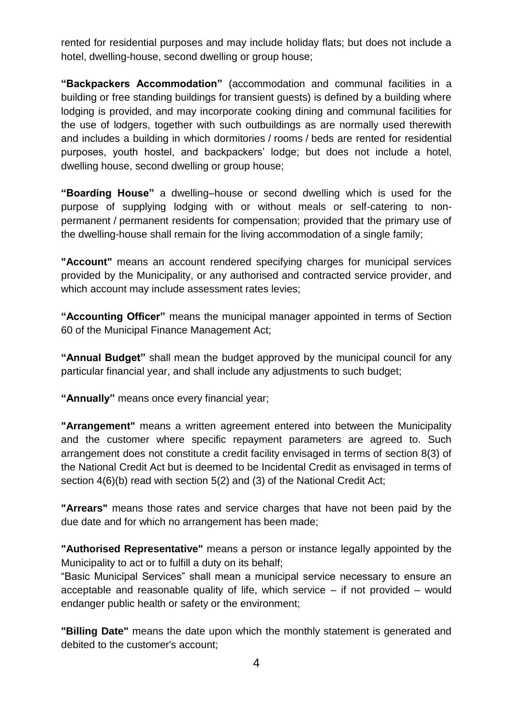rented for residential purposes and may include holiday flats; but does not include a hotel, dwelling-house, second dwelling or group house;

**"Backpackers Accommodation"** (accommodation and communal facilities in a building or free standing buildings for transient guests) is defined by a building where lodging is provided, and may incorporate cooking dining and communal facilities for the use of lodgers, together with such outbuildings as are normally used therewith and includes a building in which dormitories / rooms / beds are rented for residential purposes, youth hostel, and backpackers' lodge; but does not include a hotel, dwelling house, second dwelling or group house;

**"Boarding House"** a dwelling–house or second dwelling which is used for the purpose of supplying lodging with or without meals or self-catering to nonpermanent / permanent residents for compensation; provided that the primary use of the dwelling-house shall remain for the living accommodation of a single family;

**"Account"** means an account rendered specifying charges for municipal services provided by the Municipality, or any authorised and contracted service provider, and which account may include assessment rates levies;

**"Accounting Officer"** means the municipal manager appointed in terms of Section 60 of the Municipal Finance Management Act;

**"Annual Budget"** shall mean the budget approved by the municipal council for any particular financial year, and shall include any adjustments to such budget;

**"Annually"** means once every financial year;

**"Arrangement"** means a written agreement entered into between the Municipality and the customer where specific repayment parameters are agreed to. Such arrangement does not constitute a credit facility envisaged in terms of section 8(3) of the National Credit Act but is deemed to be Incidental Credit as envisaged in terms of section 4(6)(b) read with section 5(2) and (3) of the National Credit Act;

**"Arrears"** means those rates and service charges that have not been paid by the due date and for which no arrangement has been made;

**"Authorised Representative"** means a person or instance legally appointed by the Municipality to act or to fulfill a duty on its behalf;

"Basic Municipal Services" shall mean a municipal service necessary to ensure an acceptable and reasonable quality of life, which service  $-$  if not provided  $-$  would endanger public health or safety or the environment;

**"Billing Date"** means the date upon which the monthly statement is generated and debited to the customer's account;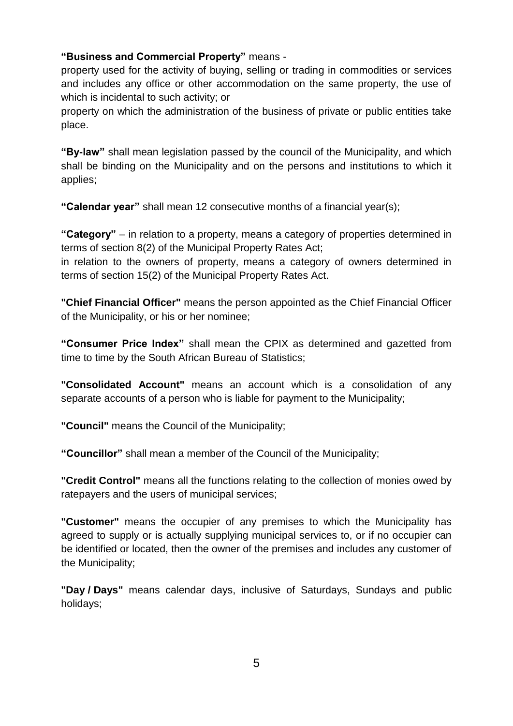# **"Business and Commercial Property"** means -

property used for the activity of buying, selling or trading in commodities or services and includes any office or other accommodation on the same property, the use of which is incidental to such activity; or

property on which the administration of the business of private or public entities take place.

**"By-law"** shall mean legislation passed by the council of the Municipality, and which shall be binding on the Municipality and on the persons and institutions to which it applies;

**"Calendar year"** shall mean 12 consecutive months of a financial year(s);

**"Category"** – in relation to a property, means a category of properties determined in terms of section 8(2) of the Municipal Property Rates Act;

in relation to the owners of property, means a category of owners determined in terms of section 15(2) of the Municipal Property Rates Act.

**"Chief Financial Officer"** means the person appointed as the Chief Financial Officer of the Municipality, or his or her nominee;

**"Consumer Price Index"** shall mean the CPIX as determined and gazetted from time to time by the South African Bureau of Statistics;

**"Consolidated Account"** means an account which is a consolidation of any separate accounts of a person who is liable for payment to the Municipality;

**"Council"** means the Council of the Municipality;

**"Councillor"** shall mean a member of the Council of the Municipality;

**"Credit Control"** means all the functions relating to the collection of monies owed by ratepayers and the users of municipal services;

**"Customer"** means the occupier of any premises to which the Municipality has agreed to supply or is actually supplying municipal services to, or if no occupier can be identified or located, then the owner of the premises and includes any customer of the Municipality;

**"Day / Days"** means calendar days, inclusive of Saturdays, Sundays and public holidays;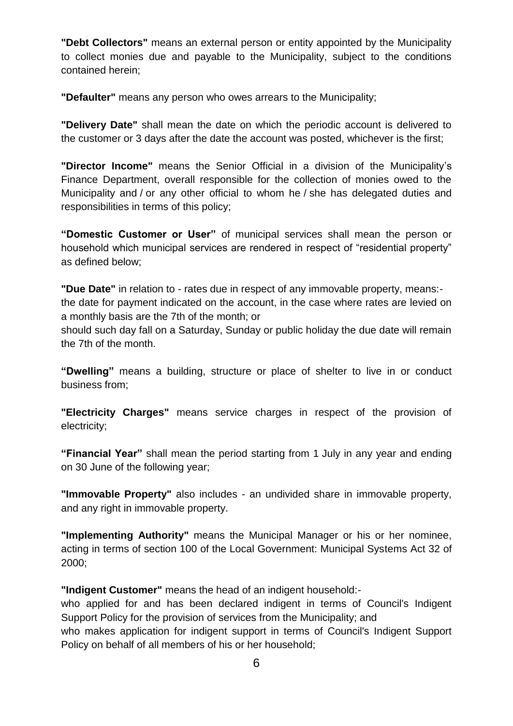**"Debt Collectors"** means an external person or entity appointed by the Municipality to collect monies due and payable to the Municipality, subject to the conditions contained herein;

**"Defaulter"** means any person who owes arrears to the Municipality;

**"Delivery Date"** shall mean the date on which the periodic account is delivered to the customer or 3 days after the date the account was posted, whichever is the first;

**"Director Income"** means the Senior Official in a division of the Municipality's Finance Department, overall responsible for the collection of monies owed to the Municipality and / or any other official to whom he / she has delegated duties and responsibilities in terms of this policy;

**"Domestic Customer or User"** of municipal services shall mean the person or household which municipal services are rendered in respect of "residential property" as defined below;

**"Due Date"** in relation to - rates due in respect of any immovable property, means: the date for payment indicated on the account, in the case where rates are levied on a monthly basis are the 7th of the month; or

should such day fall on a Saturday, Sunday or public holiday the due date will remain the 7th of the month.

**"Dwelling"** means a building, structure or place of shelter to live in or conduct business from;

**"Electricity Charges"** means service charges in respect of the provision of electricity;

**"Financial Year"** shall mean the period starting from 1 July in any year and ending on 30 June of the following year;

**"Immovable Property"** also includes - an undivided share in immovable property, and any right in immovable property.

**"Implementing Authority"** means the Municipal Manager or his or her nominee, acting in terms of section 100 of the Local Government: Municipal Systems Act 32 of 2000;

**"Indigent Customer"** means the head of an indigent household:-

who applied for and has been declared indigent in terms of Council's Indigent Support Policy for the provision of services from the Municipality; and

who makes application for indigent support in terms of Council's Indigent Support Policy on behalf of all members of his or her household;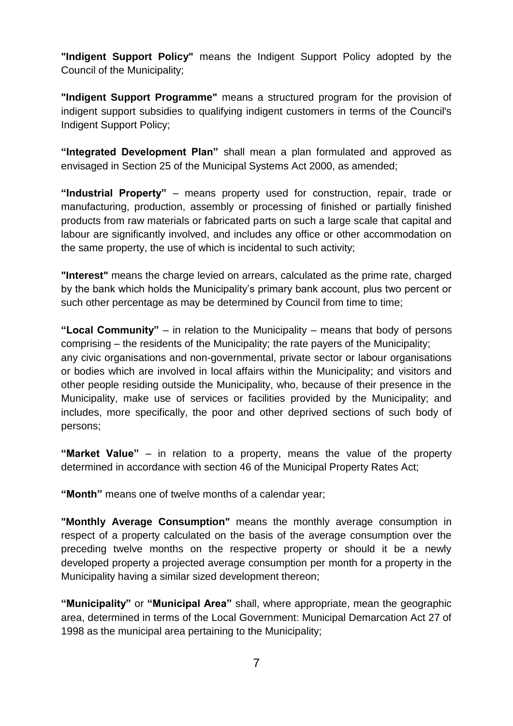**"Indigent Support Policy"** means the Indigent Support Policy adopted by the Council of the Municipality;

**"Indigent Support Programme"** means a structured program for the provision of indigent support subsidies to qualifying indigent customers in terms of the Council's Indigent Support Policy;

**"Integrated Development Plan"** shall mean a plan formulated and approved as envisaged in Section 25 of the Municipal Systems Act 2000, as amended;

**"Industrial Property"** – means property used for construction, repair, trade or manufacturing, production, assembly or processing of finished or partially finished products from raw materials or fabricated parts on such a large scale that capital and labour are significantly involved, and includes any office or other accommodation on the same property, the use of which is incidental to such activity;

**"Interest"** means the charge levied on arrears, calculated as the prime rate, charged by the bank which holds the Municipality's primary bank account, plus two percent or such other percentage as may be determined by Council from time to time;

**"Local Community"** – in relation to the Municipality – means that body of persons comprising – the residents of the Municipality; the rate payers of the Municipality; any civic organisations and non-governmental, private sector or labour organisations or bodies which are involved in local affairs within the Municipality; and visitors and other people residing outside the Municipality, who, because of their presence in the Municipality, make use of services or facilities provided by the Municipality; and includes, more specifically, the poor and other deprived sections of such body of persons;

**"Market Value"** – in relation to a property, means the value of the property determined in accordance with section 46 of the Municipal Property Rates Act;

**"Month"** means one of twelve months of a calendar year;

**"Monthly Average Consumption"** means the monthly average consumption in respect of a property calculated on the basis of the average consumption over the preceding twelve months on the respective property or should it be a newly developed property a projected average consumption per month for a property in the Municipality having a similar sized development thereon;

**"Municipality"** or **"Municipal Area"** shall, where appropriate, mean the geographic area, determined in terms of the Local Government: Municipal Demarcation Act 27 of 1998 as the municipal area pertaining to the Municipality;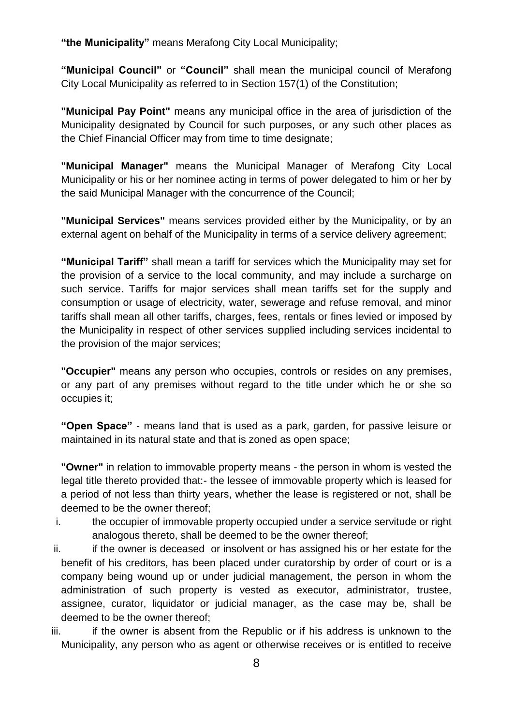**"the Municipality"** means Merafong City Local Municipality;

**"Municipal Council"** or **"Council"** shall mean the municipal council of Merafong City Local Municipality as referred to in Section 157(1) of the Constitution;

**"Municipal Pay Point"** means any municipal office in the area of jurisdiction of the Municipality designated by Council for such purposes, or any such other places as the Chief Financial Officer may from time to time designate;

**"Municipal Manager"** means the Municipal Manager of Merafong City Local Municipality or his or her nominee acting in terms of power delegated to him or her by the said Municipal Manager with the concurrence of the Council;

**"Municipal Services"** means services provided either by the Municipality, or by an external agent on behalf of the Municipality in terms of a service delivery agreement;

**"Municipal Tariff"** shall mean a tariff for services which the Municipality may set for the provision of a service to the local community, and may include a surcharge on such service. Tariffs for major services shall mean tariffs set for the supply and consumption or usage of electricity, water, sewerage and refuse removal, and minor tariffs shall mean all other tariffs, charges, fees, rentals or fines levied or imposed by the Municipality in respect of other services supplied including services incidental to the provision of the major services;

**"Occupier"** means any person who occupies, controls or resides on any premises, or any part of any premises without regard to the title under which he or she so occupies it;

**"Open Space"** - means land that is used as a park, garden, for passive leisure or maintained in its natural state and that is zoned as open space;

**"Owner"** in relation to immovable property means - the person in whom is vested the legal title thereto provided that:- the lessee of immovable property which is leased for a period of not less than thirty years, whether the lease is registered or not, shall be deemed to be the owner thereof;

- i. the occupier of immovable property occupied under a service servitude or right analogous thereto, shall be deemed to be the owner thereof;
- ii. ii. if the owner is deceased or insolvent or has assigned his or her estate for the benefit of his creditors, has been placed under curatorship by order of court or is a company being wound up or under judicial management, the person in whom the administration of such property is vested as executor, administrator, trustee, assignee, curator, liquidator or judicial manager, as the case may be, shall be deemed to be the owner thereof;
- iii. iii. if the owner is absent from the Republic or if his address is unknown to the Municipality, any person who as agent or otherwise receives or is entitled to receive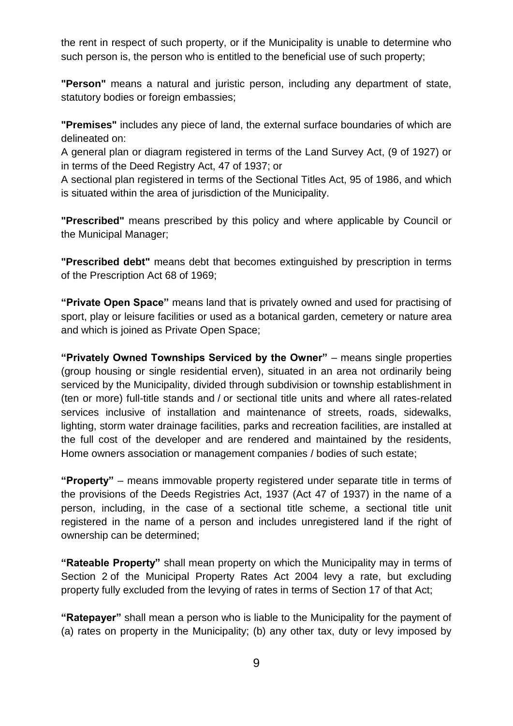the rent in respect of such property, or if the Municipality is unable to determine who such person is, the person who is entitled to the beneficial use of such property;

**"Person"** means a natural and juristic person, including any department of state, statutory bodies or foreign embassies;

**"Premises"** includes any piece of land, the external surface boundaries of which are delineated on:

A general plan or diagram registered in terms of the Land Survey Act, (9 of 1927) or in terms of the Deed Registry Act, 47 of 1937; or

A sectional plan registered in terms of the Sectional Titles Act, 95 of 1986, and which is situated within the area of jurisdiction of the Municipality.

**"Prescribed"** means prescribed by this policy and where applicable by Council or the Municipal Manager;

**"Prescribed debt"** means debt that becomes extinguished by prescription in terms of the Prescription Act 68 of 1969;

**"Private Open Space"** means land that is privately owned and used for practising of sport, play or leisure facilities or used as a botanical garden, cemetery or nature area and which is joined as Private Open Space;

**"Privately Owned Townships Serviced by the Owner"** – means single properties (group housing or single residential erven), situated in an area not ordinarily being serviced by the Municipality, divided through subdivision or township establishment in (ten or more) full-title stands and / or sectional title units and where all rates-related services inclusive of installation and maintenance of streets, roads, sidewalks, lighting, storm water drainage facilities, parks and recreation facilities, are installed at the full cost of the developer and are rendered and maintained by the residents, Home owners association or management companies / bodies of such estate;

**"Property"** – means immovable property registered under separate title in terms of the provisions of the Deeds Registries Act, 1937 (Act 47 of 1937) in the name of a person, including, in the case of a sectional title scheme, a sectional title unit registered in the name of a person and includes unregistered land if the right of ownership can be determined;

**"Rateable Property"** shall mean property on which the Municipality may in terms of Section 2 of the Municipal Property Rates Act 2004 levy a rate, but excluding property fully excluded from the levying of rates in terms of Section 17 of that Act;

**"Ratepayer"** shall mean a person who is liable to the Municipality for the payment of (a) rates on property in the Municipality; (b) any other tax, duty or levy imposed by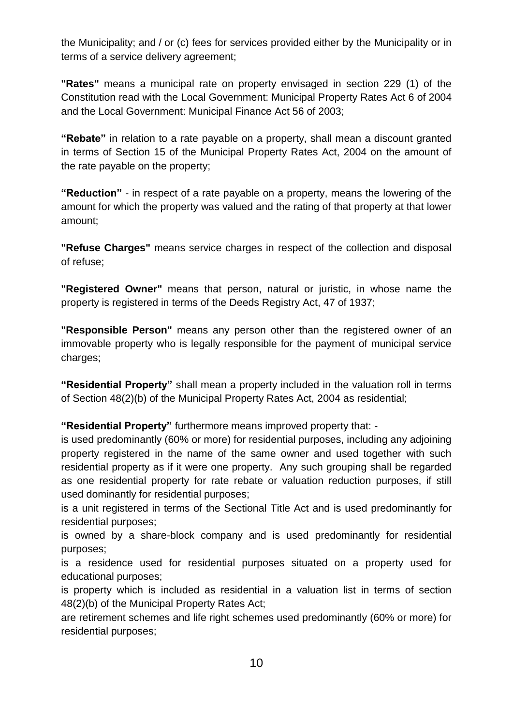the Municipality; and / or (c) fees for services provided either by the Municipality or in terms of a service delivery agreement;

**"Rates"** means a municipal rate on property envisaged in section 229 (1) of the Constitution read with the Local Government: Municipal Property Rates Act 6 of 2004 and the Local Government: Municipal Finance Act 56 of 2003;

**"Rebate"** in relation to a rate payable on a property, shall mean a discount granted in terms of Section 15 of the Municipal Property Rates Act, 2004 on the amount of the rate payable on the property;

**"Reduction"** - in respect of a rate payable on a property, means the lowering of the amount for which the property was valued and the rating of that property at that lower amount;

**"Refuse Charges"** means service charges in respect of the collection and disposal of refuse;

**"Registered Owner"** means that person, natural or juristic, in whose name the property is registered in terms of the Deeds Registry Act, 47 of 1937;

**"Responsible Person"** means any person other than the registered owner of an immovable property who is legally responsible for the payment of municipal service charges;

**"Residential Property"** shall mean a property included in the valuation roll in terms of Section 48(2)(b) of the Municipal Property Rates Act, 2004 as residential;

**"Residential Property"** furthermore means improved property that: -

is used predominantly (60% or more) for residential purposes, including any adjoining property registered in the name of the same owner and used together with such residential property as if it were one property. Any such grouping shall be regarded as one residential property for rate rebate or valuation reduction purposes, if still used dominantly for residential purposes;

is a unit registered in terms of the Sectional Title Act and is used predominantly for residential purposes;

is owned by a share-block company and is used predominantly for residential purposes;

is a residence used for residential purposes situated on a property used for educational purposes;

is property which is included as residential in a valuation list in terms of section 48(2)(b) of the Municipal Property Rates Act;

are retirement schemes and life right schemes used predominantly (60% or more) for residential purposes;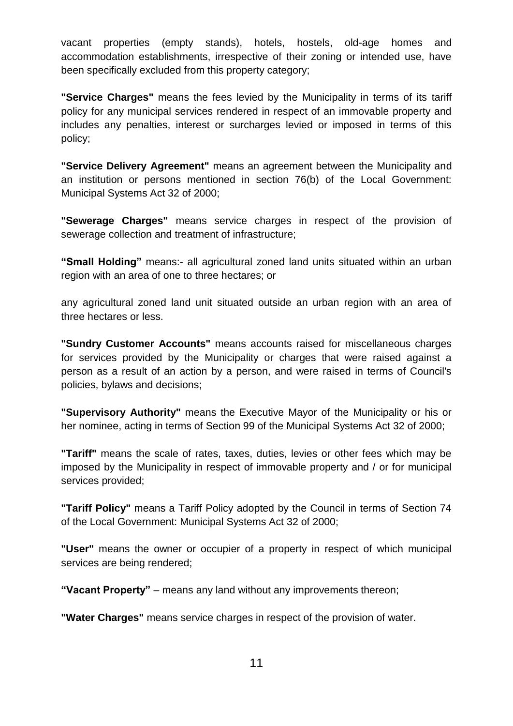vacant properties (empty stands), hotels, hostels, old-age homes and accommodation establishments, irrespective of their zoning or intended use, have been specifically excluded from this property category;

**"Service Charges"** means the fees levied by the Municipality in terms of its tariff policy for any municipal services rendered in respect of an immovable property and includes any penalties, interest or surcharges levied or imposed in terms of this policy;

**"Service Delivery Agreement"** means an agreement between the Municipality and an institution or persons mentioned in section 76(b) of the Local Government: Municipal Systems Act 32 of 2000;

**"Sewerage Charges"** means service charges in respect of the provision of sewerage collection and treatment of infrastructure;

**"Small Holding"** means:- all agricultural zoned land units situated within an urban region with an area of one to three hectares; or

any agricultural zoned land unit situated outside an urban region with an area of three hectares or less.

**"Sundry Customer Accounts"** means accounts raised for miscellaneous charges for services provided by the Municipality or charges that were raised against a person as a result of an action by a person, and were raised in terms of Council's policies, bylaws and decisions;

**"Supervisory Authority"** means the Executive Mayor of the Municipality or his or her nominee, acting in terms of Section 99 of the Municipal Systems Act 32 of 2000;

**"Tariff"** means the scale of rates, taxes, duties, levies or other fees which may be imposed by the Municipality in respect of immovable property and / or for municipal services provided;

**"Tariff Policy"** means a Tariff Policy adopted by the Council in terms of Section 74 of the Local Government: Municipal Systems Act 32 of 2000;

**"User"** means the owner or occupier of a property in respect of which municipal services are being rendered;

**"Vacant Property"** – means any land without any improvements thereon;

**"Water Charges"** means service charges in respect of the provision of water.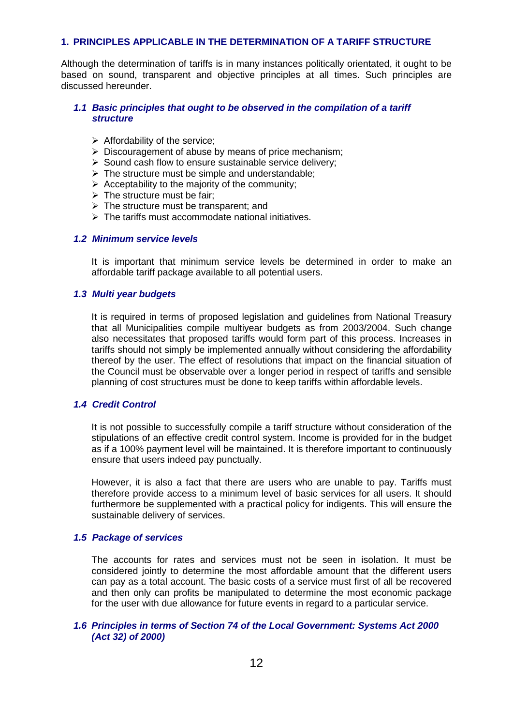#### **1. PRINCIPLES APPLICABLE IN THE DETERMINATION OF A TARIFF STRUCTURE**

Although the determination of tariffs is in many instances politically orientated, it ought to be based on sound, transparent and objective principles at all times. Such principles are discussed hereunder.

#### <span id="page-11-0"></span>*1.1 Basic principles that ought to be observed in the compilation of a tariff structure*

- $\triangleright$  Affordability of the service;
- $\triangleright$  Discouragement of abuse by means of price mechanism;
- $\triangleright$  Sound cash flow to ensure sustainable service delivery;
- $\triangleright$  The structure must be simple and understandable;
- $\triangleright$  Acceptability to the majority of the community:
- $\triangleright$  The structure must be fair;
- $\triangleright$  The structure must be transparent; and
- $\triangleright$  The tariffs must accommodate national initiatives.

#### <span id="page-11-1"></span>*1.2 Minimum service levels*

It is important that minimum service levels be determined in order to make an affordable tariff package available to all potential users.

#### <span id="page-11-2"></span>*1.3 Multi year budgets*

It is required in terms of proposed legislation and guidelines from National Treasury that all Municipalities compile multiyear budgets as from 2003/2004. Such change also necessitates that proposed tariffs would form part of this process. Increases in tariffs should not simply be implemented annually without considering the affordability thereof by the user. The effect of resolutions that impact on the financial situation of the Council must be observable over a longer period in respect of tariffs and sensible planning of cost structures must be done to keep tariffs within affordable levels.

#### <span id="page-11-3"></span>*1.4 Credit Control*

It is not possible to successfully compile a tariff structure without consideration of the stipulations of an effective credit control system. Income is provided for in the budget as if a 100% payment level will be maintained. It is therefore important to continuously ensure that users indeed pay punctually.

However, it is also a fact that there are users who are unable to pay. Tariffs must therefore provide access to a minimum level of basic services for all users. It should furthermore be supplemented with a practical policy for indigents. This will ensure the sustainable delivery of services.

#### <span id="page-11-4"></span>*1.5 Package of services*

The accounts for rates and services must not be seen in isolation. It must be considered jointly to determine the most affordable amount that the different users can pay as a total account. The basic costs of a service must first of all be recovered and then only can profits be manipulated to determine the most economic package for the user with due allowance for future events in regard to a particular service.

#### <span id="page-11-5"></span>*1.6 Principles in terms of Section 74 of the Local Government: Systems Act 2000 (Act 32) of 2000)*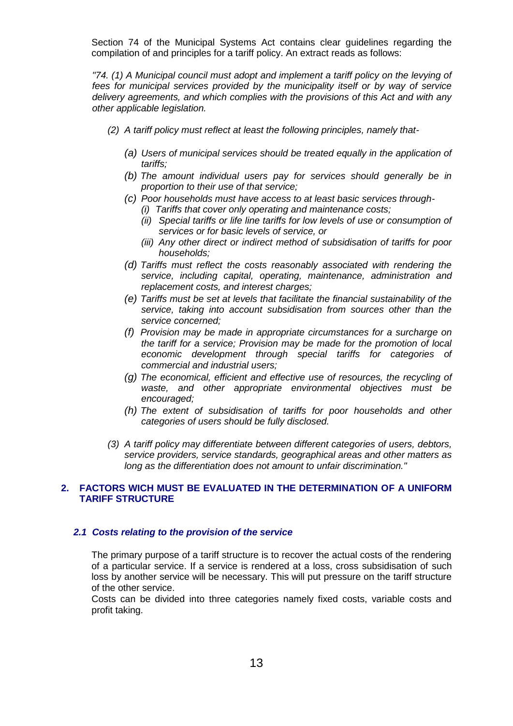Section 74 of the Municipal Systems Act contains clear guidelines regarding the compilation of and principles for a tariff policy. An extract reads as follows:

*"74. (1) A Municipal council must adopt and implement a tariff policy on the levying of fees for municipal services provided by the municipality itself or by way of service delivery agreements, and which complies with the provisions of this Act and with any other applicable legislation.*

- *(2) A tariff policy must reflect at least the following principles, namely that-*
	- *(a) Users of municipal services should be treated equally in the application of tariffs;*
	- *(b) The amount individual users pay for services should generally be in proportion to their use of that service;*
	- *(c) Poor households must have access to at least basic services through-*
		- *(i) Tariffs that cover only operating and maintenance costs;*
		- *(ii) Special tariffs or life line tariffs for low levels of use or consumption of services or for basic levels of service, or*
		- *(iii) Any other direct or indirect method of subsidisation of tariffs for poor households;*
	- *(d) Tariffs must reflect the costs reasonably associated with rendering the service, including capital, operating, maintenance, administration and replacement costs, and interest charges;*
	- *(e) Tariffs must be set at levels that facilitate the financial sustainability of the service, taking into account subsidisation from sources other than the service concerned;*
	- *(f) Provision may be made in appropriate circumstances for a surcharge on the tariff for a service; Provision may be made for the promotion of local economic development through special tariffs for categories of commercial and industrial users;*
	- *(g) The economical, efficient and effective use of resources, the recycling of waste, and other appropriate environmental objectives must be encouraged;*
	- *(h) The extent of subsidisation of tariffs for poor households and other categories of users should be fully disclosed.*
- *(3) A tariff policy may differentiate between different categories of users, debtors, service providers, service standards, geographical areas and other matters as long as the differentiation does not amount to unfair discrimination."*

## <span id="page-12-0"></span>**2. FACTORS WICH MUST BE EVALUATED IN THE DETERMINATION OF A UNIFORM TARIFF STRUCTURE**

## <span id="page-12-1"></span>*2.1 Costs relating to the provision of the service*

The primary purpose of a tariff structure is to recover the actual costs of the rendering of a particular service. If a service is rendered at a loss, cross subsidisation of such loss by another service will be necessary. This will put pressure on the tariff structure of the other service.

Costs can be divided into three categories namely fixed costs, variable costs and profit taking.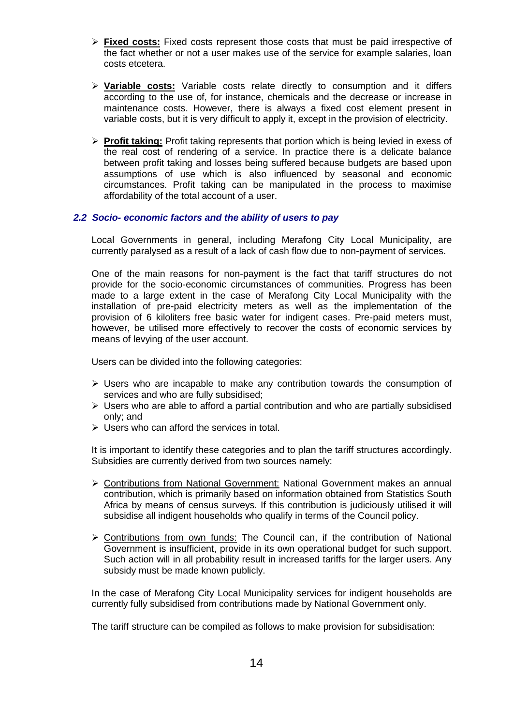- **Fixed costs:** Fixed costs represent those costs that must be paid irrespective of the fact whether or not a user makes use of the service for example salaries, loan costs etcetera.
- **Variable costs:** Variable costs relate directly to consumption and it differs according to the use of, for instance, chemicals and the decrease or increase in maintenance costs. However, there is always a fixed cost element present in variable costs, but it is very difficult to apply it, except in the provision of electricity.
- **Profit taking:** Profit taking represents that portion which is being levied in exess of the real cost of rendering of a service. In practice there is a delicate balance between profit taking and losses being suffered because budgets are based upon assumptions of use which is also influenced by seasonal and economic circumstances. Profit taking can be manipulated in the process to maximise affordability of the total account of a user.

#### <span id="page-13-0"></span>*2.2 Socio- economic factors and the ability of users to pay*

Local Governments in general, including Merafong City Local Municipality, are currently paralysed as a result of a lack of cash flow due to non-payment of services.

One of the main reasons for non-payment is the fact that tariff structures do not provide for the socio-economic circumstances of communities. Progress has been made to a large extent in the case of Merafong City Local Municipality with the installation of pre-paid electricity meters as well as the implementation of the provision of 6 kiloliters free basic water for indigent cases. Pre-paid meters must, however, be utilised more effectively to recover the costs of economic services by means of levying of the user account.

Users can be divided into the following categories:

- $\triangleright$  Users who are incapable to make any contribution towards the consumption of services and who are fully subsidised;
- $\triangleright$  Users who are able to afford a partial contribution and who are partially subsidised only; and
- $\triangleright$  Users who can afford the services in total.

It is important to identify these categories and to plan the tariff structures accordingly. Subsidies are currently derived from two sources namely:

- Contributions from National Government: National Government makes an annual contribution, which is primarily based on information obtained from Statistics South Africa by means of census surveys. If this contribution is judiciously utilised it will subsidise all indigent households who qualify in terms of the Council policy.
- $\triangleright$  Contributions from own funds: The Council can, if the contribution of National Government is insufficient, provide in its own operational budget for such support. Such action will in all probability result in increased tariffs for the larger users. Any subsidy must be made known publicly.

In the case of Merafong City Local Municipality services for indigent households are currently fully subsidised from contributions made by National Government only.

The tariff structure can be compiled as follows to make provision for subsidisation: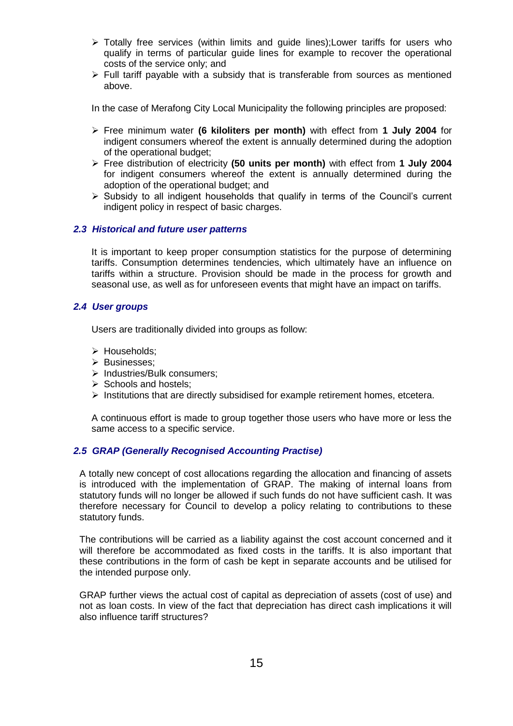- Totally free services (within limits and guide lines);Lower tariffs for users who qualify in terms of particular guide lines for example to recover the operational costs of the service only; and
- $\triangleright$  Full tariff payable with a subsidy that is transferable from sources as mentioned above.

In the case of Merafong City Local Municipality the following principles are proposed:

- Free minimum water **(6 kiloliters per month)** with effect from **1 July 2004** for indigent consumers whereof the extent is annually determined during the adoption of the operational budget;
- Free distribution of electricity **(50 units per month)** with effect from **1 July 2004** for indigent consumers whereof the extent is annually determined during the adoption of the operational budget; and
- $\triangleright$  Subsidy to all indigent households that qualify in terms of the Council's current indigent policy in respect of basic charges.

#### <span id="page-14-0"></span>*2.3 Historical and future user patterns*

It is important to keep proper consumption statistics for the purpose of determining tariffs. Consumption determines tendencies, which ultimately have an influence on tariffs within a structure. Provision should be made in the process for growth and seasonal use, as well as for unforeseen events that might have an impact on tariffs.

#### <span id="page-14-1"></span>*2.4 User groups*

Users are traditionally divided into groups as follow:

- > Households;
- > Businesses;
- $\triangleright$  Industries/Bulk consumers:
- $\triangleright$  Schools and hostels:
- $\triangleright$  Institutions that are directly subsidised for example retirement homes, etcetera.

A continuous effort is made to group together those users who have more or less the same access to a specific service.

#### <span id="page-14-2"></span>*2.5 GRAP (Generally Recognised Accounting Practise)*

A totally new concept of cost allocations regarding the allocation and financing of assets is introduced with the implementation of GRAP. The making of internal loans from statutory funds will no longer be allowed if such funds do not have sufficient cash. It was therefore necessary for Council to develop a policy relating to contributions to these statutory funds.

The contributions will be carried as a liability against the cost account concerned and it will therefore be accommodated as fixed costs in the tariffs. It is also important that these contributions in the form of cash be kept in separate accounts and be utilised for the intended purpose only.

GRAP further views the actual cost of capital as depreciation of assets (cost of use) and not as loan costs. In view of the fact that depreciation has direct cash implications it will also influence tariff structures?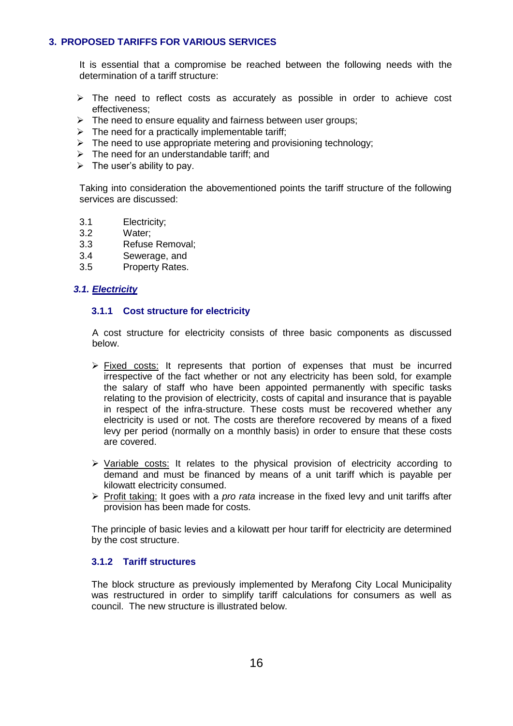## <span id="page-15-0"></span>**3. PROPOSED TARIFFS FOR VARIOUS SERVICES**

It is essential that a compromise be reached between the following needs with the determination of a tariff structure:

- $\triangleright$  The need to reflect costs as accurately as possible in order to achieve cost effectiveness;
- $\triangleright$  The need to ensure equality and fairness between user groups:
- $\triangleright$  The need for a practically implementable tariff;
- $\triangleright$  The need to use appropriate metering and provisioning technology;
- $\triangleright$  The need for an understandable tariff; and
- $\triangleright$  The user's ability to pay.

Taking into consideration the abovementioned points the tariff structure of the following services are discussed:

- 3.1 Electricity;
- 3.2 Water;
- 3.3 Refuse Removal;
- 3.4 Sewerage, and
- 3.5 Property Rates.

## <span id="page-15-2"></span><span id="page-15-1"></span>*3.1. Electricity*

## **3.1.1 Cost structure for electricity**

A cost structure for electricity consists of three basic components as discussed below.

- $\triangleright$  Fixed costs: It represents that portion of expenses that must be incurred irrespective of the fact whether or not any electricity has been sold, for example the salary of staff who have been appointed permanently with specific tasks relating to the provision of electricity, costs of capital and insurance that is payable in respect of the infra-structure. These costs must be recovered whether any electricity is used or not. The costs are therefore recovered by means of a fixed levy per period (normally on a monthly basis) in order to ensure that these costs are covered.
- $\triangleright$  Variable costs: It relates to the physical provision of electricity according to demand and must be financed by means of a unit tariff which is payable per kilowatt electricity consumed.
- Profit taking: It goes with a *pro rata* increase in the fixed levy and unit tariffs after provision has been made for costs.

The principle of basic levies and a kilowatt per hour tariff for electricity are determined by the cost structure.

## <span id="page-15-3"></span>**3.1.2 Tariff structures**

The block structure as previously implemented by Merafong City Local Municipality was restructured in order to simplify tariff calculations for consumers as well as council. The new structure is illustrated below.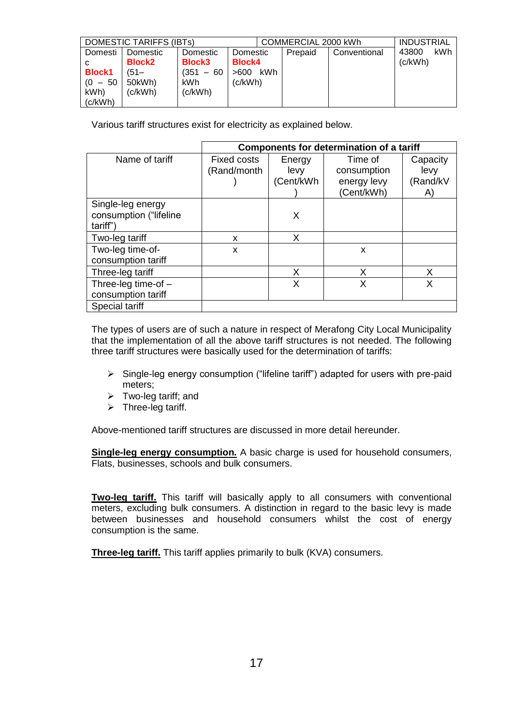| DOMESTIC TARIFFS (IBTs) |               |               |               | COMMERCIAL 2000 kWh |              |         | <b>INDUSTRIAL</b> |
|-------------------------|---------------|---------------|---------------|---------------------|--------------|---------|-------------------|
| Domesti                 | Domestic      | Domestic      | Domestic      | Prepaid             | Conventional | 43800   | kWh               |
|                         | <b>Block2</b> | <b>Block3</b> | <b>Block4</b> |                     |              | (c/kWh) |                   |
| <b>Block1</b>           | $(51 -$       | $(351 - 60)$  | kWh<br>>600   |                     |              |         |                   |
| $(0 - 50)$              | 50kWh)        | kWh.          | (c/kWh).      |                     |              |         |                   |
| kWh)                    | (c/kWh)       | (c/kWh)       |               |                     |              |         |                   |
| (c/kWh)                 |               |               |               |                     |              |         |                   |

Various tariff structures exist for electricity as explained below.

|                                             | <b>Components for determination of a tariff</b> |                |                        |                  |  |  |
|---------------------------------------------|-------------------------------------------------|----------------|------------------------|------------------|--|--|
| Name of tariff                              | <b>Fixed costs</b><br>(Rand/month               | Energy<br>levy | Time of<br>consumption | Capacity<br>levy |  |  |
|                                             |                                                 | (Cent/kWh      | energy levy            | (Rand/kV         |  |  |
| Single-leg energy                           |                                                 |                | (Cent/kWh)             | A)               |  |  |
| consumption ("lifeline<br>tariff")          |                                                 | X              |                        |                  |  |  |
| Two-leg tariff                              | x                                               | X              |                        |                  |  |  |
| Two-leg time-of-<br>consumption tariff      | X                                               |                | X                      |                  |  |  |
| Three-leg tariff                            |                                                 | X              | X                      | X                |  |  |
| Three-leg time-of $-$<br>consumption tariff |                                                 | X              | x                      | X                |  |  |
| <b>Special tariff</b>                       |                                                 |                |                        |                  |  |  |

The types of users are of such a nature in respect of Merafong City Local Municipality that the implementation of all the above tariff structures is not needed. The following three tariff structures were basically used for the determination of tariffs:

- $\triangleright$  Single-leg energy consumption ("lifeline tariff") adapted for users with pre-paid meters;
- $\triangleright$  Two-leg tariff; and
- $\triangleright$  Three-leg tariff.

Above-mentioned tariff structures are discussed in more detail hereunder.

**Single-leg energy consumption.** A basic charge is used for household consumers, Flats, businesses, schools and bulk consumers.

**Two-leg tariff.** This tariff will basically apply to all consumers with conventional meters, excluding bulk consumers. A distinction in regard to the basic levy is made between businesses and household consumers whilst the cost of energy consumption is the same.

**Three-leg tariff.** This tariff applies primarily to bulk (KVA) consumers.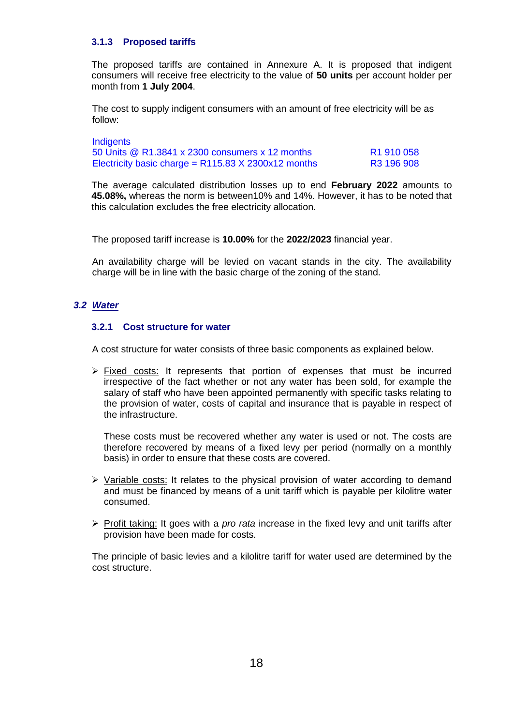## <span id="page-17-0"></span>**3.1.3 Proposed tariffs**

The proposed tariffs are contained in Annexure A. It is proposed that indigent consumers will receive free electricity to the value of **50 units** per account holder per month from **1 July 2004**.

The cost to supply indigent consumers with an amount of free electricity will be as follow:

**Indigents** 50 Units @ R1.3841 x 2300 consumers x 12 months R1 910 058 Electricity basic charge =  $R115.83$  X 2300x12 months  $R3 196 908$ 

The average calculated distribution losses up to end **February 2022** amounts to **45.08%,** whereas the norm is between10% and 14%. However, it has to be noted that this calculation excludes the free electricity allocation.

The proposed tariff increase is **10.00%** for the **2022/2023** financial year.

An availability charge will be levied on vacant stands in the city. The availability charge will be in line with the basic charge of the zoning of the stand.

## <span id="page-17-2"></span><span id="page-17-1"></span>*3.2 Water*

## **3.2.1 Cost structure for water**

A cost structure for water consists of three basic components as explained below.

 $\triangleright$  Fixed costs: It represents that portion of expenses that must be incurred irrespective of the fact whether or not any water has been sold, for example the salary of staff who have been appointed permanently with specific tasks relating to the provision of water, costs of capital and insurance that is payable in respect of the infrastructure.

These costs must be recovered whether any water is used or not. The costs are therefore recovered by means of a fixed levy per period (normally on a monthly basis) in order to ensure that these costs are covered.

- $\triangleright$  Variable costs: It relates to the physical provision of water according to demand and must be financed by means of a unit tariff which is payable per kilolitre water consumed.
- Profit taking: It goes with a *pro rata* increase in the fixed levy and unit tariffs after provision have been made for costs.

The principle of basic levies and a kilolitre tariff for water used are determined by the cost structure.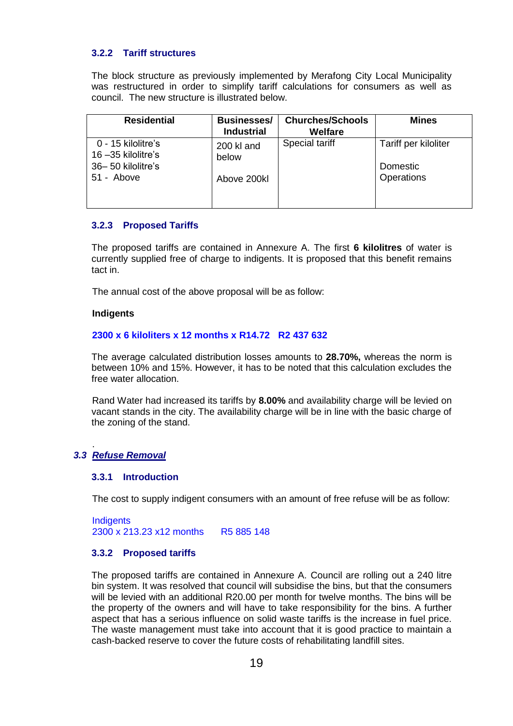## <span id="page-18-0"></span>**3.2.2 Tariff structures**

The block structure as previously implemented by Merafong City Local Municipality was restructured in order to simplify tariff calculations for consumers as well as council. The new structure is illustrated below.

| <b>Residential</b>                                               | <b>Businesses/</b><br><b>Industrial</b> | <b>Churches/Schools</b><br>Welfare | <b>Mines</b>                     |
|------------------------------------------------------------------|-----------------------------------------|------------------------------------|----------------------------------|
| 0 - 15 kilolitre's<br>$16 - 35$ kilolitre's<br>36-50 kilolitre's | 200 kl and<br>below                     | <b>Special tariff</b>              | Tariff per kiloliter<br>Domestic |
| 51 - Above                                                       | Above 200kl                             |                                    | Operations                       |

## <span id="page-18-1"></span>**3.2.3 Proposed Tariffs**

The proposed tariffs are contained in Annexure A. The first **6 kilolitres** of water is currently supplied free of charge to indigents. It is proposed that this benefit remains tact in.

The annual cost of the above proposal will be as follow:

#### **Indigents**

## **2300 x 6 kiloliters x 12 months x R14.72 R2 437 632**

The average calculated distribution losses amounts to **28.70%,** whereas the norm is between 10% and 15%. However, it has to be noted that this calculation excludes the free water allocation.

Rand Water had increased its tariffs by **8.00%** and availability charge will be levied on vacant stands in the city. The availability charge will be in line with the basic charge of the zoning of the stand.

#### <span id="page-18-3"></span><span id="page-18-2"></span>*3.3 Refuse Removal*

.

#### **3.3.1 Introduction**

The cost to supply indigent consumers with an amount of free refuse will be as follow:

**Indigents** 2300 x 213.23 x12 months R5 885 148

#### <span id="page-18-4"></span>**3.3.2 Proposed tariffs**

The proposed tariffs are contained in Annexure A. Council are rolling out a 240 litre bin system. It was resolved that council will subsidise the bins, but that the consumers will be levied with an additional R20.00 per month for twelve months. The bins will be the property of the owners and will have to take responsibility for the bins. A further aspect that has a serious influence on solid waste tariffs is the increase in fuel price. The waste management must take into account that it is good practice to maintain a cash-backed reserve to cover the future costs of rehabilitating landfill sites.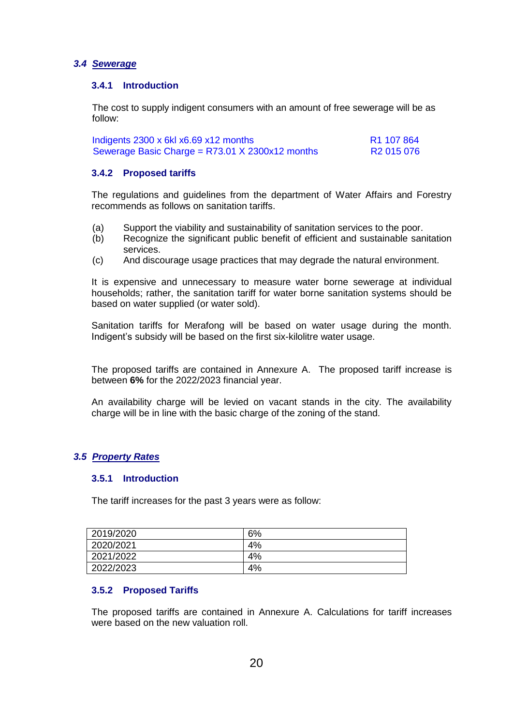## <span id="page-19-1"></span><span id="page-19-0"></span>*3.4 Sewerage*

### **3.4.1 Introduction**

The cost to supply indigent consumers with an amount of free sewerage will be as follow:

| Indigents 2300 x 6kl x6.69 x12 months             | R1 107 864 |
|---------------------------------------------------|------------|
| Sewerage Basic Charge = $R73.01$ X 2300x12 months | R2 015 076 |

## <span id="page-19-2"></span>**3.4.2 Proposed tariffs**

The regulations and guidelines from the department of Water Affairs and Forestry recommends as follows on sanitation tariffs.

- (a) Support the viability and sustainability of sanitation services to the poor.
- (b) Recognize the significant public benefit of efficient and sustainable sanitation services.
- (c) And discourage usage practices that may degrade the natural environment.

It is expensive and unnecessary to measure water borne sewerage at individual households; rather, the sanitation tariff for water borne sanitation systems should be based on water supplied (or water sold).

Sanitation tariffs for Merafong will be based on water usage during the month. Indigent's subsidy will be based on the first six-kilolitre water usage.

The proposed tariffs are contained in Annexure A. The proposed tariff increase is between **6%** for the 2022/2023 financial year.

An availability charge will be levied on vacant stands in the city. The availability charge will be in line with the basic charge of the zoning of the stand.

## <span id="page-19-4"></span><span id="page-19-3"></span>*3.5 Property Rates*

## **3.5.1 Introduction**

The tariff increases for the past 3 years were as follow:

| 2019/2020 | 6% |
|-----------|----|
| 2020/2021 | 4% |
| 2021/2022 | 4% |
| 2022/2023 | 4% |

## <span id="page-19-5"></span>**3.5.2 Proposed Tariffs**

The proposed tariffs are contained in Annexure A. Calculations for tariff increases were based on the new valuation roll.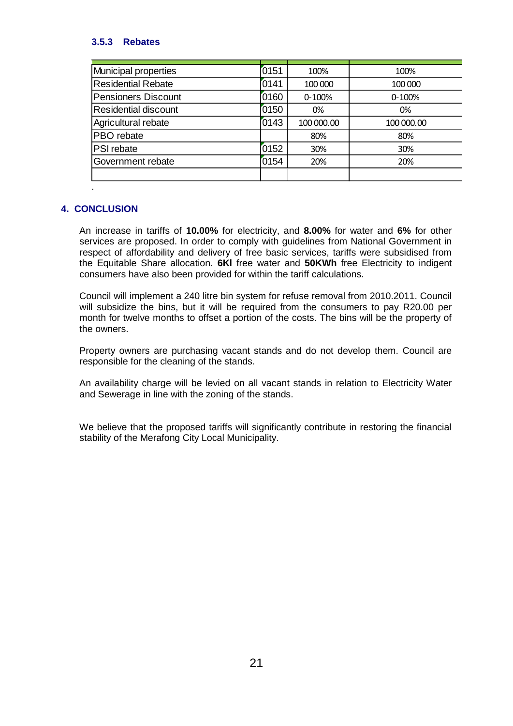## **3.5.3 Rebates**

| Municipal properties        | 0151 | 100%       | 100%       |
|-----------------------------|------|------------|------------|
| <b>Residential Rebate</b>   | 0141 | 100 000    | 100 000    |
| <b>Pensioners Discount</b>  | 0160 | 0-100%     | 0-100%     |
| <b>Residential discount</b> | 0150 | 0%         | 0%         |
| Agricultural rebate         | 0143 | 100 000.00 | 100 000.00 |
| PBO rebate                  |      | 80%        | 80%        |
| PSI rebate                  | 0152 | 30%        | 30%        |
| Government rebate           | 0154 | 20%        | 20%        |
|                             |      |            |            |

## <span id="page-20-0"></span>**4. CONCLUSION**

.

An increase in tariffs of **10.00%** for electricity, and **8.00%** for water and **6%** for other services are proposed. In order to comply with guidelines from National Government in respect of affordability and delivery of free basic services, tariffs were subsidised from the Equitable Share allocation. **6Kl** free water and **50KWh** free Electricity to indigent consumers have also been provided for within the tariff calculations.

Council will implement a 240 litre bin system for refuse removal from 2010.2011. Council will subsidize the bins, but it will be required from the consumers to pay R20.00 per month for twelve months to offset a portion of the costs. The bins will be the property of the owners.

Property owners are purchasing vacant stands and do not develop them. Council are responsible for the cleaning of the stands.

An availability charge will be levied on all vacant stands in relation to Electricity Water and Sewerage in line with the zoning of the stands.

We believe that the proposed tariffs will significantly contribute in restoring the financial stability of the Merafong City Local Municipality.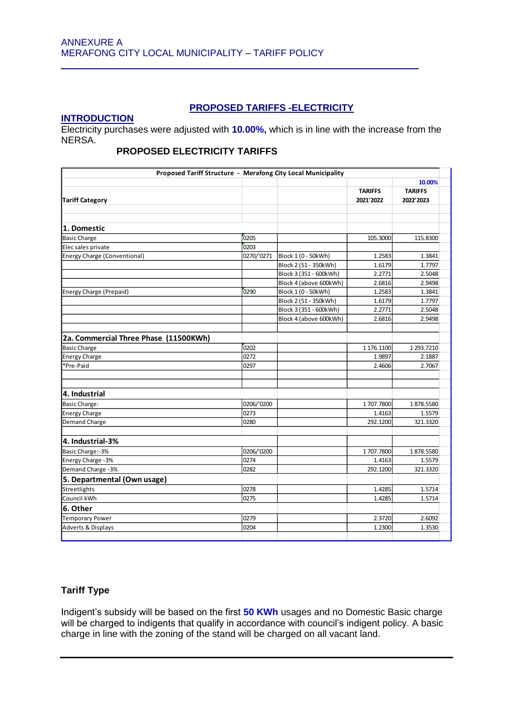## **PROPOSED TARIFFS -ELECTRICITY**

## **INTRODUCTION**

Electricity purchases were adjusted with **10.00%,** which is in line with the increase from the NERSA.

# **PROPOSED ELECTRICITY TARIFFS**

|                                       |            | Proposed Tariff Structure - Merafong City Local Municipality |                             |                                       |  |
|---------------------------------------|------------|--------------------------------------------------------------|-----------------------------|---------------------------------------|--|
| <b>Tariff Category</b>                |            |                                                              | <b>TARIFFS</b><br>2021'2022 | 10.00%<br><b>TARIFFS</b><br>2022'2023 |  |
|                                       |            |                                                              |                             |                                       |  |
| 1. Domestic                           |            |                                                              |                             |                                       |  |
| <b>Basic Charge</b>                   | 0205       |                                                              | 105.3000                    | 115.8300                              |  |
| Elec sales private                    | 0203       |                                                              |                             |                                       |  |
| Energy Charge (Conventional)          | 0270/'0271 | Block 1 (0 - 50kWh)                                          | 1.2583                      | 1.3841                                |  |
|                                       |            | Block 2 (51 - 350kWh)                                        | 1.6179                      | 1.7797                                |  |
|                                       |            | Block 3 (351 - 600kWh)                                       | 2.2771                      | 2.5048                                |  |
|                                       |            | Block 4 (above 600kWh)                                       | 2.6816                      | 2.9498                                |  |
| <b>Energy Charge (Prepaid)</b>        | 0290       | Block 1 (0 - 50kWh)                                          | 1.2583                      | 1.3841                                |  |
|                                       |            | Block 2 (51 - 350kWh)                                        | 1.6179                      | 1.7797                                |  |
|                                       |            | Block 3 (351 - 600kWh)                                       | 2.2771                      | 2.5048                                |  |
|                                       |            | Block 4 (above 600kWh)                                       | 2.6816                      | 2.9498                                |  |
|                                       |            |                                                              |                             |                                       |  |
| 2a. Commercial Three Phase (11500KWh) |            |                                                              |                             |                                       |  |
| <b>Basic Charge</b>                   | 0202       |                                                              | 1 176.1100                  | 1 293.7210                            |  |
| <b>Energy Charge</b>                  | 0272       |                                                              | 1.9897                      | 2.1887                                |  |
| *Pre-Paid                             | 0297       |                                                              | 2.4606                      | 2.7067                                |  |
|                                       |            |                                                              |                             |                                       |  |
| 4. Industrial                         |            |                                                              |                             |                                       |  |
| <b>Basic Charge:</b>                  | 0206/'0200 |                                                              | 1707.7800                   | 1878.5580                             |  |
| <b>Energy Charge</b>                  | 0273       |                                                              | 1.4163                      | 1.5579                                |  |
| <b>Demand Charge</b>                  | 0280       |                                                              | 292.1200                    | 321.3320                              |  |
|                                       |            |                                                              |                             |                                       |  |
| 4. Industrial-3%                      |            |                                                              |                             |                                       |  |
| Basic Charge:-3%                      | 0206/'0200 |                                                              | 1707.7800                   | 1878.5580                             |  |
| Energy Charge - 3%                    | 0274       |                                                              | 1.4163                      | 1.5579                                |  |
| Demand Charge -3%                     | 0282       |                                                              | 292.1200                    | 321.3320                              |  |
| 5. Departmental (Own usage)           |            |                                                              |                             |                                       |  |
| Streetlights                          | 0278       |                                                              | 1.4285                      | 1.5714                                |  |
| Council kWh                           | 0275       |                                                              | 1.4285                      | 1.5714                                |  |
| 6. Other                              |            |                                                              |                             |                                       |  |
| <b>Temporary Power</b>                | 0279       |                                                              | 2.3720                      | 2.6092                                |  |
| <b>Adverts &amp; Displays</b>         | 0204       |                                                              | 1.2300                      | 1.3530                                |  |

## **Tariff Type**

Indigent's subsidy will be based on the first **50 KWh** usages and no Domestic Basic charge will be charged to indigents that qualify in accordance with council's indigent policy. A basic charge in line with the zoning of the stand will be charged on all vacant land.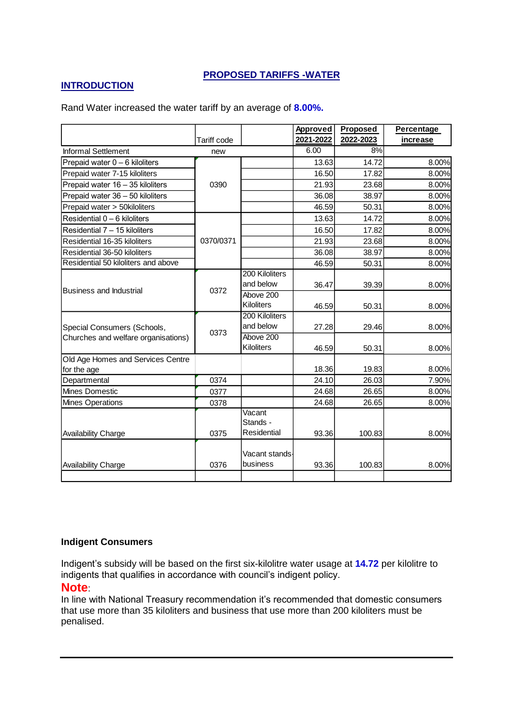# **PROPOSED TARIFFS -WATER**

## **INTRODUCTION**

Tariff code **Approved 2021-2022 Proposed 2022-2023 Percentage increase** Informal Settlement **new** new 1 6.00 8% Prepaid water 0 – 6 kiloliters 14.72 13.63 14.72 15.00% Prepaid water 7-15 kiloliters 16.50 17.82 8.00% Prepaid water 16 – 35 kiloliters 21.93 21.93 23.68 23.68 Prepaid water 36 – 50 kiloliters 36 – 36.08 38.97 38.00% Prepaid water > 50kiloliters and the set of the set of the 46.59 50.31 8.00% Residential 0 – 6 kiloliters | 13.63 | 14.72 | 8.00% Residential 7 – 15 kiloliters 16.50 16.50 17.82 8.00% Residential 16-35 kiloliters 21.93 23.68 8.00% Residential 36-50 kiloliters 36.08 38.97 8.00% Residential 50 kiloliters and above 46.59 50.31 8.00% 200 Kiloliters and below  $\begin{array}{|c|c|c|c|c|c|} \hline &36.47 &39.39 & &8.00\% \hline \end{array}$ Above 200 Kiloliters | 46.59 50.31 8.00% 200 Kiloliters and below  $\begin{array}{|c|c|c|c|c|c|} \hline &27.28 & 29.46 & 8.00\% \hline \end{array}$ Above 200 Kiloliters | 46.59 50.31 8.00% Old Age Homes and Services Centre for the age 18.36| 19.83| 8.00% Departmental 0374 24.10 26.03 7.90% Mines Domestic **24.68** 26.65 8.00% Mines Operations **1988** 24.68 26.65 8.00% Availability Charge **120 and 131 and 131 and 131 and 131 and 131 and 131 and 131 and 131 and 131 and 131 and 131 and 131 and 131 and 131 and 131 and 131 and 131 and 131 and 131 and 131 and 131 and 131 and 131 and 131 and 1** Vacant Stands - Residential 93.36 100.83 8.00% Availability Charge **120 and 1318** 0376 Vacant standsbusiness | 93.36 100.83 8.00% 0390 Business and Industrial Special Consumers (Schools, Churches and welfare organisations) 0372 0373 0370/0371

Rand Water increased the water tariff by an average of **8.00%.**

## **Indigent Consumers**

Indigent's subsidy will be based on the first six-kilolitre water usage at **14.72** per kilolitre to indigents that qualifies in accordance with council's indigent policy.

## **Note**:

In line with National Treasury recommendation it's recommended that domestic consumers that use more than 35 kiloliters and business that use more than 200 kiloliters must be penalised.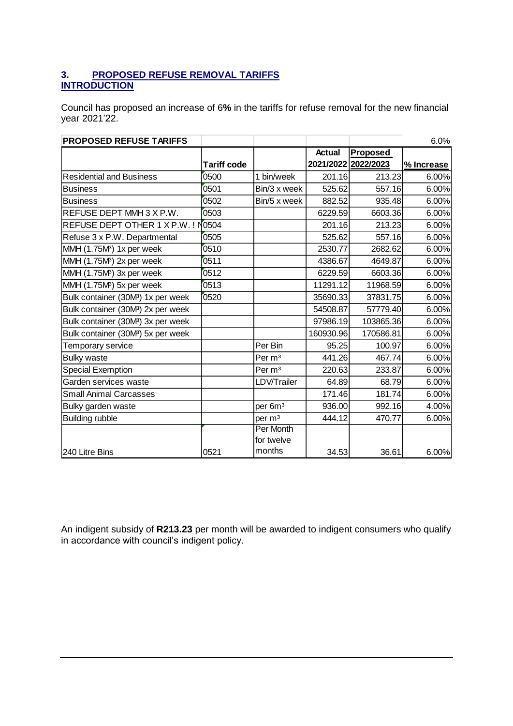# **3. PROPOSED REFUSE REMOVAL TARIFFS INTRODUCTION**

Council has proposed an increase of 6**%** in the tariffs for refuse removal for the new financial year 2021'22.

| <b>PROPOSED REFUSE TARIFFS</b>                 |                    |                     |               |                     | 6.0%       |
|------------------------------------------------|--------------------|---------------------|---------------|---------------------|------------|
|                                                |                    |                     | <b>Actual</b> | Proposed            |            |
|                                                | <b>Tariff code</b> |                     |               | 2021/2022 2022/2023 | % Increase |
| <b>Residential and Business</b>                | 0500               | 1 bin/week          | 201.16        | 213.23              | 6.00%      |
| <b>Business</b>                                | 0501               | Bin/3 x week        | 525.62        | 557.16              | 6.00%      |
| <b>Business</b>                                | 0502               | Bin/5 x week        | 882.52        | 935.48              | 6.00%      |
| REFUSE DEPT MMH 3 X P.W.                       | 0503               |                     | 6229.59       | 6603.36             | 6.00%      |
| REFUSE DEPT OTHER 1 X P.W. !                   | N <sub>0504</sub>  |                     | 201.16        | 213.23              | 6.00%      |
| Refuse 3 x P.W. Departmental                   | 0505               |                     | 525.62        | 557.16              | 6.00%      |
| MMH (1.75M <sup>3</sup> ) 1x per week          | 0510               |                     | 2530.77       | 2682.62             | 6.00%      |
| MMH (1.75M <sup>3</sup> ) 2x per week          | 0511               |                     | 4386.67       | 4649.87             | 6.00%      |
| MMH (1.75M <sup>3</sup> ) 3x per week          | 0512               |                     | 6229.59       | 6603.36             | 6.00%      |
| MMH (1.75M <sup>3</sup> ) 5x per week          | 0513               |                     | 11291.12      | 11968.59            | 6.00%      |
| Bulk container (30M <sup>B</sup> ) 1x per week | 0520               |                     | 35690.33      | 37831.75            | 6.00%      |
| Bulk container (30M <sup>3</sup> ) 2x per week |                    |                     | 54508.87      | 57779.40            | 6.00%      |
| Bulk container (30M <sup>B</sup> ) 3x per week |                    |                     | 97986.19      | 103865.36           | 6.00%      |
| Bulk container (30M <sup>B</sup> ) 5x per week |                    |                     | 160930.96     | 170586.81           | 6.00%      |
| Temporary service                              |                    | Per Bin             | 95.25         | 100.97              | 6.00%      |
| <b>Bulky waste</b>                             |                    | Per m <sup>3</sup>  | 441.26        | 467.74              | 6.00%      |
| <b>Special Exemption</b>                       |                    | Per m <sup>3</sup>  | 220.63        | 233.87              | 6.00%      |
| Garden services waste                          |                    | LDV/Trailer         | 64.89         | 68.79               | 6.00%      |
| <b>Small Animal Carcasses</b>                  |                    |                     | 171.46        | 181.74              | 6.00%      |
| Bulky garden waste                             |                    | per 6m <sup>3</sup> | 936.00        | 992.16              | 4.00%      |
| <b>Building rubble</b>                         |                    | per m <sup>3</sup>  | 444.12        | 470.77              | 6.00%      |
|                                                |                    | Per Month           |               |                     |            |
|                                                |                    | for twelve          |               |                     |            |
| 240 Litre Bins                                 | 0521               | months              | 34.53         | 36.61               | 6.00%      |

An indigent subsidy of **R213.23** per month will be awarded to indigent consumers who qualify in accordance with council's indigent policy.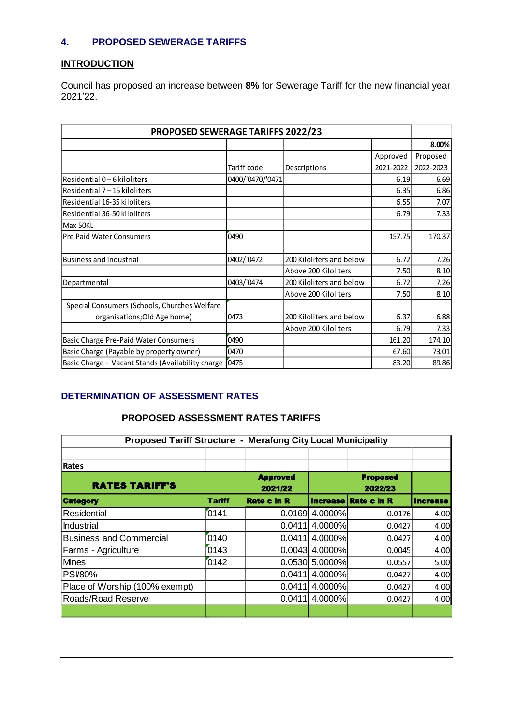# **4. PROPOSED SEWERAGE TARIFFS**

# **INTRODUCTION**

Council has proposed an increase between **8%** for Sewerage Tariff for the new financial year 2021'22.

| <b>PROPOSED SEWERAGE TARIFFS 2022/23</b>                 |                  |                          |           |           |  |
|----------------------------------------------------------|------------------|--------------------------|-----------|-----------|--|
|                                                          |                  |                          |           | 8.00%     |  |
|                                                          |                  |                          | Approved  | Proposed  |  |
|                                                          | Tariff code      | Descriptions             | 2021-2022 | 2022-2023 |  |
| Residential 0-6 kiloliters                               | 0400/'0470/'0471 |                          | 6.19      | 6.69      |  |
| Residential 7-15 kiloliters                              |                  |                          | 6.35      | 6.86      |  |
| Residential 16-35 kiloliters                             |                  |                          | 6.55      | 7.07      |  |
| Residential 36-50 kiloliters                             |                  |                          | 6.79      | 7.33      |  |
| Max 50KL                                                 |                  |                          |           |           |  |
| <b>Pre Paid Water Consumers</b>                          | 0490             |                          | 157.75    | 170.37    |  |
|                                                          |                  |                          |           |           |  |
| <b>Business and Industrial</b>                           | 0402/'0472       | 200 Kiloliters and below | 6.72      | 7.26      |  |
|                                                          |                  | Above 200 Kiloliters     | 7.50      | 8.10      |  |
| Departmental                                             | 0403/'0474       | 200 Kiloliters and below | 6.72      | 7.26      |  |
|                                                          |                  | Above 200 Kiloliters     | 7.50      | 8.10      |  |
| Special Consumers (Schools, Churches Welfare             |                  |                          |           |           |  |
| organisations; Old Age home)                             | 0473             | 200 Kiloliters and below | 6.37      | 6.88      |  |
|                                                          |                  | Above 200 Kiloliters     | 6.79      | 7.33      |  |
| Basic Charge Pre-Paid Water Consumers                    | 0490             |                          | 161.20    | 174.10    |  |
| Basic Charge (Payable by property owner)                 | 0470             |                          | 67.60     | 73.01     |  |
| Basic Charge - Vacant Stands (Availability charge [0475] |                  |                          | 83.20     | 89.86     |  |

# **DETERMINATION OF ASSESSMENT RATES**

# **PROPOSED ASSESSMENT RATES TARIFFS**

| <b>Proposed Tariff Structure - Merafong City Local Municipality</b> |               |                            |                  |                             |                 |  |  |
|---------------------------------------------------------------------|---------------|----------------------------|------------------|-----------------------------|-----------------|--|--|
| Rates                                                               |               |                            |                  |                             |                 |  |  |
| <b>RATES TARIFF'S</b>                                               |               | <b>Approved</b><br>2021/22 |                  | <b>Proposed</b><br>2022/23  |                 |  |  |
| <b>Category</b>                                                     | <b>Tariff</b> | <b>Rate c in R</b>         |                  | <b>Increase Rate c in R</b> | <b>Increase</b> |  |  |
| Residential                                                         | 0141          | 0.0169                     | 4.0000%          | 0.0176                      | 4.00            |  |  |
| Industrial                                                          |               | 0.0411                     | 4.0000%          | 0.0427                      | 4.00            |  |  |
| <b>Business and Commercial</b>                                      | 0140          | 0.0411                     | 4.0000%          | 0.0427                      | 4.00            |  |  |
| Farms - Agriculture                                                 | 0143          | 0.0043                     | 4.0000%          | 0.0045                      | 4.00            |  |  |
| <b>Mines</b>                                                        | 0142          |                            | $0.0530$ 5.0000% | 0.0557                      | 5.00            |  |  |
| <b>PSI/80%</b>                                                      |               | 0.0411                     | 4.0000%          | 0.0427                      | 4.00            |  |  |
| Place of Worship (100% exempt)                                      |               | 0.0411                     | 4.0000%          | 0.0427                      | 4.00            |  |  |
| Roads/Road Reserve                                                  |               | 0.0411                     | 4.0000%          | 0.0427                      | 4.00            |  |  |
|                                                                     |               |                            |                  |                             |                 |  |  |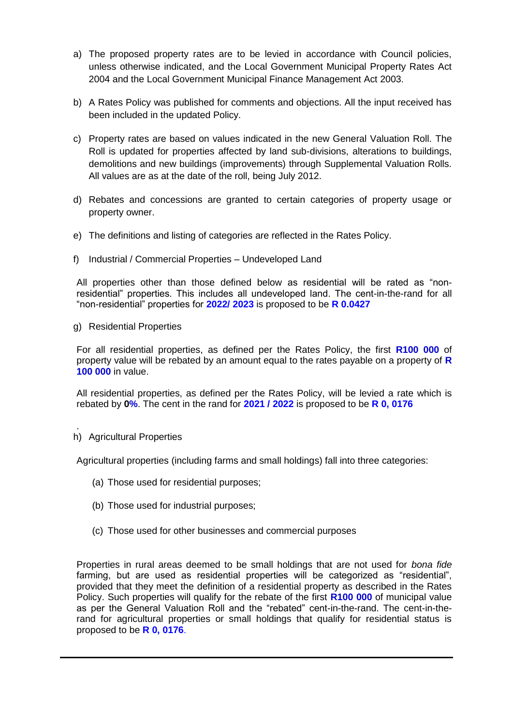- a) The proposed property rates are to be levied in accordance with Council policies, unless otherwise indicated, and the Local Government Municipal Property Rates Act 2004 and the Local Government Municipal Finance Management Act 2003.
- b) A Rates Policy was published for comments and objections. All the input received has been included in the updated Policy.
- c) Property rates are based on values indicated in the new General Valuation Roll. The Roll is updated for properties affected by land sub-divisions, alterations to buildings, demolitions and new buildings (improvements) through Supplemental Valuation Rolls. All values are as at the date of the roll, being July 2012.
- d) Rebates and concessions are granted to certain categories of property usage or property owner.
- e) The definitions and listing of categories are reflected in the Rates Policy.
- f) Industrial / Commercial Properties Undeveloped Land

All properties other than those defined below as residential will be rated as "nonresidential" properties. This includes all undeveloped land. The cent-in-the-rand for all "non-residential" properties for **2022/ 2023** is proposed to be **R 0.0427**

g) Residential Properties

For all residential properties, as defined per the Rates Policy, the first **R100 000** of property value will be rebated by an amount equal to the rates payable on a property of **R 100 000** in value.

All residential properties, as defined per the Rates Policy, will be levied a rate which is rebated by **0%**. The cent in the rand for **2021 / 2022** is proposed to be **R 0, 0176**

. h) Agricultural Properties

Agricultural properties (including farms and small holdings) fall into three categories:

- (a) Those used for residential purposes;
- (b) Those used for industrial purposes;
- (c) Those used for other businesses and commercial purposes

Properties in rural areas deemed to be small holdings that are not used for *bona fide* farming, but are used as residential properties will be categorized as "residential", provided that they meet the definition of a residential property as described in the Rates Policy. Such properties will qualify for the rebate of the first **R100 000** of municipal value as per the General Valuation Roll and the "rebated" cent-in-the-rand. The cent-in-therand for agricultural properties or small holdings that qualify for residential status is proposed to be **R 0, 0176**.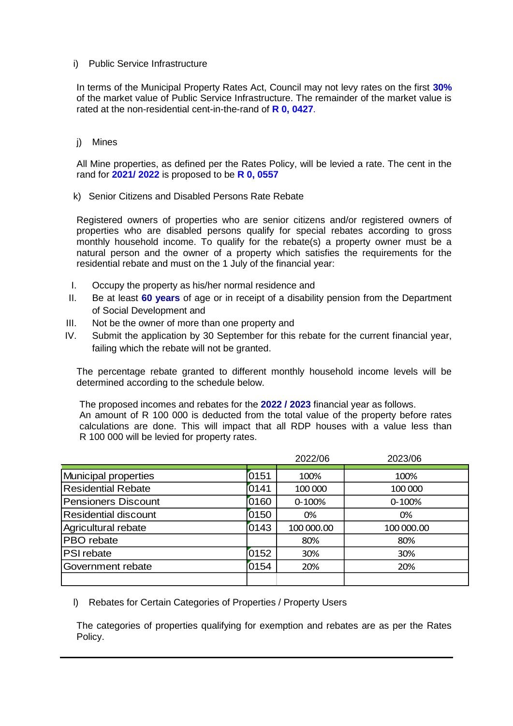## i) Public Service Infrastructure

In terms of the Municipal Property Rates Act, Council may not levy rates on the first **30%** of the market value of Public Service Infrastructure. The remainder of the market value is rated at the non-residential cent-in-the-rand of **R 0, 0427**.

## j) Mines

All Mine properties, as defined per the Rates Policy, will be levied a rate. The cent in the rand for **2021/ 2022** is proposed to be **R 0, 0557**

k) Senior Citizens and Disabled Persons Rate Rebate

Registered owners of properties who are senior citizens and/or registered owners of properties who are disabled persons qualify for special rebates according to gross monthly household income. To qualify for the rebate(s) a property owner must be a natural person and the owner of a property which satisfies the requirements for the residential rebate and must on the 1 July of the financial year:

- I. Occupy the property as his/her normal residence and
- II. Be at least **60 years** of age or in receipt of a disability pension from the Department of Social Development and
- III. Not be the owner of more than one property and
- IV. Submit the application by 30 September for this rebate for the current financial year, failing which the rebate will not be granted.

The percentage rebate granted to different monthly household income levels will be determined according to the schedule below.

The proposed incomes and rebates for the **2022 / 2023** financial year as follows. An amount of R 100 000 is deducted from the total value of the property before rates calculations are done. This will impact that all RDP houses with a value less than R 100 000 will be levied for property rates.

|                           |      | 2022/06    | 2023/06    |
|---------------------------|------|------------|------------|
| Municipal properties      | 0151 | 100%       | 100%       |
| <b>Residential Rebate</b> | 0141 | 100 000    | 100 000    |
| Pensioners Discount       | 0160 | 0-100%     | $0 - 100%$ |
| Residential discount      | 0150 | 0%         | 0%         |
| Agricultural rebate       | 0143 | 100 000.00 | 100 000.00 |
| PBO rebate                |      | 80%        | 80%        |
| <b>PSI</b> rebate         | 0152 | 30%        | 30%        |
| Government rebate         | 0154 | 20%        | 20%        |
|                           |      |            |            |

l) Rebates for Certain Categories of Properties / Property Users

The categories of properties qualifying for exemption and rebates are as per the Rates Policy.